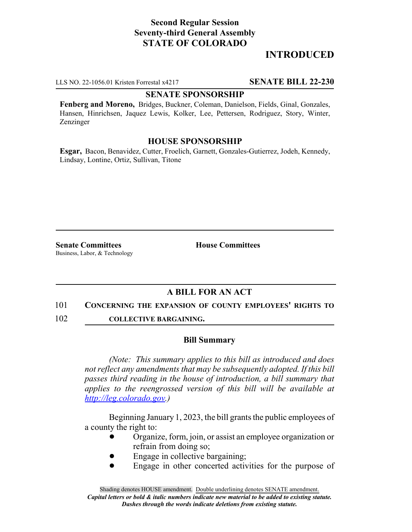# **Second Regular Session Seventy-third General Assembly STATE OF COLORADO**

# **INTRODUCED**

LLS NO. 22-1056.01 Kristen Forrestal x4217 **SENATE BILL 22-230**

### **SENATE SPONSORSHIP**

**Fenberg and Moreno,** Bridges, Buckner, Coleman, Danielson, Fields, Ginal, Gonzales, Hansen, Hinrichsen, Jaquez Lewis, Kolker, Lee, Pettersen, Rodriguez, Story, Winter, Zenzinger

### **HOUSE SPONSORSHIP**

**Esgar,** Bacon, Benavidez, Cutter, Froelich, Garnett, Gonzales-Gutierrez, Jodeh, Kennedy, Lindsay, Lontine, Ortiz, Sullivan, Titone

**Senate Committees House Committees** Business, Labor, & Technology

## **A BILL FOR AN ACT**

#### 101 **CONCERNING THE EXPANSION OF COUNTY EMPLOYEES' RIGHTS TO**

102 **COLLECTIVE BARGAINING.**

### **Bill Summary**

*(Note: This summary applies to this bill as introduced and does not reflect any amendments that may be subsequently adopted. If this bill passes third reading in the house of introduction, a bill summary that applies to the reengrossed version of this bill will be available at http://leg.colorado.gov.)*

Beginning January 1, 2023, the bill grants the public employees of a county the right to:

- ! Organize, form, join, or assist an employee organization or refrain from doing so;
- Engage in collective bargaining;
- Engage in other concerted activities for the purpose of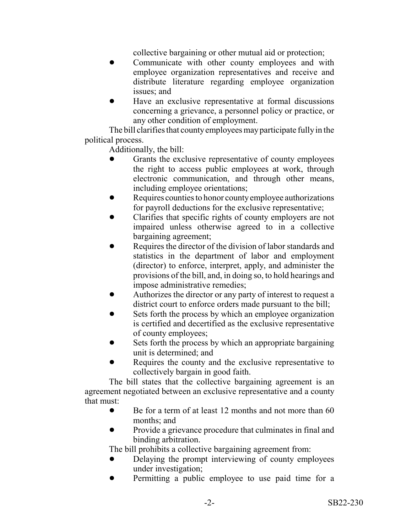collective bargaining or other mutual aid or protection;

- Communicate with other county employees and with employee organization representatives and receive and distribute literature regarding employee organization issues; and
- Have an exclusive representative at formal discussions concerning a grievance, a personnel policy or practice, or any other condition of employment.

The bill clarifies that county employees may participate fully in the political process.

Additionally, the bill:

- Grants the exclusive representative of county employees the right to access public employees at work, through electronic communication, and through other means, including employee orientations;
- Requires counties to honor county employee authorizations for payroll deductions for the exclusive representative;
- ! Clarifies that specific rights of county employers are not impaired unless otherwise agreed to in a collective bargaining agreement;
- Requires the director of the division of labor standards and statistics in the department of labor and employment (director) to enforce, interpret, apply, and administer the provisions of the bill, and, in doing so, to hold hearings and impose administrative remedies;
- Authorizes the director or any party of interest to request a district court to enforce orders made pursuant to the bill;
- Sets forth the process by which an employee organization is certified and decertified as the exclusive representative of county employees;
- Sets forth the process by which an appropriate bargaining unit is determined; and
- Requires the county and the exclusive representative to collectively bargain in good faith.

The bill states that the collective bargaining agreement is an agreement negotiated between an exclusive representative and a county that must:

- Be for a term of at least 12 months and not more than 60 months; and
- Provide a grievance procedure that culminates in final and binding arbitration.

The bill prohibits a collective bargaining agreement from:

- Delaying the prompt interviewing of county employees under investigation;
- Permitting a public employee to use paid time for a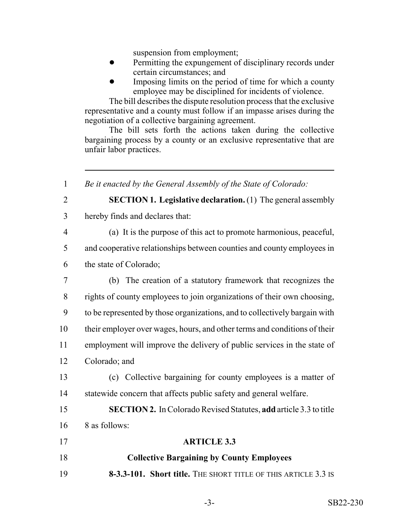suspension from employment;

- **•** Permitting the expungement of disciplinary records under certain circumstances; and
- **IMPONE IMPONE IN IMPONE IS NOTE THAT IMPONE IN THE IMPONE IMPONE IS NOT IMPONE IN IMPONE IMPONE IMPONE IMPONE I** employee may be disciplined for incidents of violence.

The bill describes the dispute resolution process that the exclusive representative and a county must follow if an impasse arises during the negotiation of a collective bargaining agreement.

The bill sets forth the actions taken during the collective bargaining process by a county or an exclusive representative that are unfair labor practices.

| $\mathbf{1}$   | Be it enacted by the General Assembly of the State of Colorado:            |
|----------------|----------------------------------------------------------------------------|
| $\overline{2}$ | <b>SECTION 1. Legislative declaration.</b> (1) The general assembly        |
| 3              | hereby finds and declares that:                                            |
| $\overline{4}$ | (a) It is the purpose of this act to promote harmonious, peaceful,         |
| 5              | and cooperative relationships between counties and county employees in     |
| 6              | the state of Colorado;                                                     |
| $\tau$         | (b) The creation of a statutory framework that recognizes the              |
| 8              | rights of county employees to join organizations of their own choosing,    |
| 9              | to be represented by those organizations, and to collectively bargain with |
| 10             | their employer over wages, hours, and other terms and conditions of their  |
| 11             | employment will improve the delivery of public services in the state of    |
| 12             | Colorado; and                                                              |
| 13             | (c) Collective bargaining for county employees is a matter of              |
| 14             | statewide concern that affects public safety and general welfare.          |
| 15             | <b>SECTION 2.</b> In Colorado Revised Statutes, add article 3.3 to title   |
| 16             | 8 as follows:                                                              |
| 17             | <b>ARTICLE 3.3</b>                                                         |
| 18             | <b>Collective Bargaining by County Employees</b>                           |
| 19             | 8-3.3-101. Short title. THE SHORT TITLE OF THIS ARTICLE 3.3 IS             |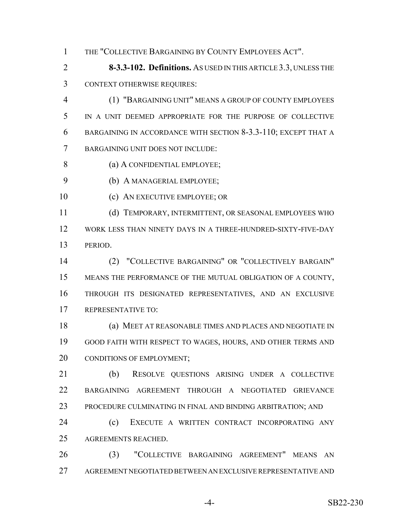THE "COLLECTIVE BARGAINING BY COUNTY EMPLOYEES ACT".

 **8-3.3-102. Definitions.** AS USED IN THIS ARTICLE 3.3, UNLESS THE CONTEXT OTHERWISE REQUIRES:

 (1) "BARGAINING UNIT" MEANS A GROUP OF COUNTY EMPLOYEES IN A UNIT DEEMED APPROPRIATE FOR THE PURPOSE OF COLLECTIVE BARGAINING IN ACCORDANCE WITH SECTION 8-3.3-110; EXCEPT THAT A BARGAINING UNIT DOES NOT INCLUDE:

- 8 (a) A CONFIDENTIAL EMPLOYEE:
- (b) A MANAGERIAL EMPLOYEE;
- 10 (c) AN EXECUTIVE EMPLOYEE; OR

 (d) TEMPORARY, INTERMITTENT, OR SEASONAL EMPLOYEES WHO WORK LESS THAN NINETY DAYS IN A THREE-HUNDRED-SIXTY-FIVE-DAY PERIOD.

 (2) "COLLECTIVE BARGAINING" OR "COLLECTIVELY BARGAIN" MEANS THE PERFORMANCE OF THE MUTUAL OBLIGATION OF A COUNTY, THROUGH ITS DESIGNATED REPRESENTATIVES, AND AN EXCLUSIVE REPRESENTATIVE TO:

 (a) MEET AT REASONABLE TIMES AND PLACES AND NEGOTIATE IN GOOD FAITH WITH RESPECT TO WAGES, HOURS, AND OTHER TERMS AND 20 CONDITIONS OF EMPLOYMENT;

 (b) RESOLVE QUESTIONS ARISING UNDER A COLLECTIVE BARGAINING AGREEMENT THROUGH A NEGOTIATED GRIEVANCE PROCEDURE CULMINATING IN FINAL AND BINDING ARBITRATION; AND

 (c) EXECUTE A WRITTEN CONTRACT INCORPORATING ANY AGREEMENTS REACHED.

 (3) "COLLECTIVE BARGAINING AGREEMENT" MEANS AN AGREEMENT NEGOTIATED BETWEEN AN EXCLUSIVE REPRESENTATIVE AND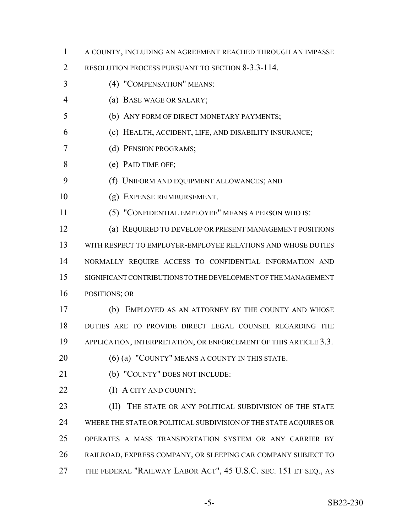- A COUNTY, INCLUDING AN AGREEMENT REACHED THROUGH AN IMPASSE
- 2 RESOLUTION PROCESS PURSUANT TO SECTION 8-3.3-114.
- (4) "COMPENSATION" MEANS:
- (a) BASE WAGE OR SALARY;
- (b) ANY FORM OF DIRECT MONETARY PAYMENTS;
- (c) HEALTH, ACCIDENT, LIFE, AND DISABILITY INSURANCE;
- (d) PENSION PROGRAMS;
- (e) PAID TIME OFF;
- (f) UNIFORM AND EQUIPMENT ALLOWANCES; AND
- (g) EXPENSE REIMBURSEMENT.
- (5) "CONFIDENTIAL EMPLOYEE" MEANS A PERSON WHO IS:
- (a) REQUIRED TO DEVELOP OR PRESENT MANAGEMENT POSITIONS WITH RESPECT TO EMPLOYER-EMPLOYEE RELATIONS AND WHOSE DUTIES NORMALLY REQUIRE ACCESS TO CONFIDENTIAL INFORMATION AND SIGNIFICANT CONTRIBUTIONS TO THE DEVELOPMENT OF THE MANAGEMENT POSITIONS; OR
- (b) EMPLOYED AS AN ATTORNEY BY THE COUNTY AND WHOSE DUTIES ARE TO PROVIDE DIRECT LEGAL COUNSEL REGARDING THE 19 APPLICATION, INTERPRETATION, OR ENFORCEMENT OF THIS ARTICLE 3.3.
- 20 (6) (a) "COUNTY" MEANS A COUNTY IN THIS STATE.
- 

(b) "COUNTY" DOES NOT INCLUDE:

**(I)** A CITY AND COUNTY;

**(II)** THE STATE OR ANY POLITICAL SUBDIVISION OF THE STATE WHERE THE STATE OR POLITICAL SUBDIVISION OF THE STATE ACQUIRES OR OPERATES A MASS TRANSPORTATION SYSTEM OR ANY CARRIER BY RAILROAD, EXPRESS COMPANY, OR SLEEPING CAR COMPANY SUBJECT TO THE FEDERAL "RAILWAY LABOR ACT", 45 U.S.C. SEC. 151 ET SEQ., AS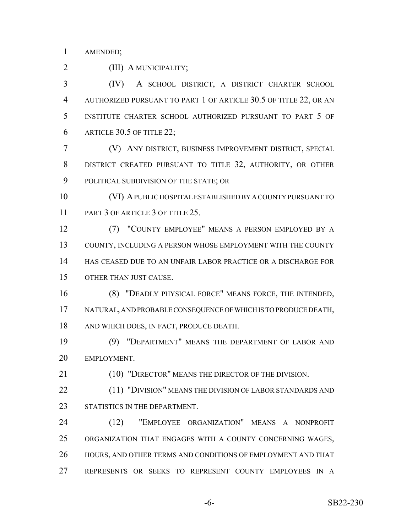AMENDED;

(III) A MUNICIPALITY;

 (IV) A SCHOOL DISTRICT, A DISTRICT CHARTER SCHOOL AUTHORIZED PURSUANT TO PART 1 OF ARTICLE 30.5 OF TITLE 22, OR AN INSTITUTE CHARTER SCHOOL AUTHORIZED PURSUANT TO PART 5 OF ARTICLE 30.5 OF TITLE 22;

 (V) ANY DISTRICT, BUSINESS IMPROVEMENT DISTRICT, SPECIAL DISTRICT CREATED PURSUANT TO TITLE 32, AUTHORITY, OR OTHER POLITICAL SUBDIVISION OF THE STATE; OR

 (VI) A PUBLIC HOSPITAL ESTABLISHED BY A COUNTY PURSUANT TO 11 PART 3 OF ARTICLE 3 OF TITLE 25.

 (7) "COUNTY EMPLOYEE" MEANS A PERSON EMPLOYED BY A COUNTY, INCLUDING A PERSON WHOSE EMPLOYMENT WITH THE COUNTY HAS CEASED DUE TO AN UNFAIR LABOR PRACTICE OR A DISCHARGE FOR OTHER THAN JUST CAUSE.

 (8) "DEADLY PHYSICAL FORCE" MEANS FORCE, THE INTENDED, NATURAL, AND PROBABLE CONSEQUENCE OF WHICH IS TO PRODUCE DEATH, AND WHICH DOES, IN FACT, PRODUCE DEATH.

 (9) "DEPARTMENT" MEANS THE DEPARTMENT OF LABOR AND EMPLOYMENT.

21 (10) "DIRECTOR" MEANS THE DIRECTOR OF THE DIVISION.

22 (11) "DIVISION" MEANS THE DIVISION OF LABOR STANDARDS AND 23 STATISTICS IN THE DEPARTMENT.

 (12) "EMPLOYEE ORGANIZATION" MEANS A NONPROFIT ORGANIZATION THAT ENGAGES WITH A COUNTY CONCERNING WAGES, 26 HOURS, AND OTHER TERMS AND CONDITIONS OF EMPLOYMENT AND THAT REPRESENTS OR SEEKS TO REPRESENT COUNTY EMPLOYEES IN A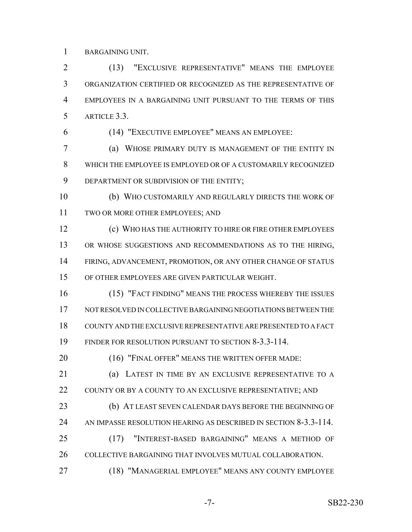BARGAINING UNIT.

 (13) "EXCLUSIVE REPRESENTATIVE" MEANS THE EMPLOYEE ORGANIZATION CERTIFIED OR RECOGNIZED AS THE REPRESENTATIVE OF EMPLOYEES IN A BARGAINING UNIT PURSUANT TO THE TERMS OF THIS ARTICLE 3.3.

(14) "EXECUTIVE EMPLOYEE" MEANS AN EMPLOYEE:

 (a) WHOSE PRIMARY DUTY IS MANAGEMENT OF THE ENTITY IN WHICH THE EMPLOYEE IS EMPLOYED OR OF A CUSTOMARILY RECOGNIZED DEPARTMENT OR SUBDIVISION OF THE ENTITY;

 (b) WHO CUSTOMARILY AND REGULARLY DIRECTS THE WORK OF TWO OR MORE OTHER EMPLOYEES; AND

 (c) WHO HAS THE AUTHORITY TO HIRE OR FIRE OTHER EMPLOYEES OR WHOSE SUGGESTIONS AND RECOMMENDATIONS AS TO THE HIRING, FIRING, ADVANCEMENT, PROMOTION, OR ANY OTHER CHANGE OF STATUS OF OTHER EMPLOYEES ARE GIVEN PARTICULAR WEIGHT.

 (15) "FACT FINDING" MEANS THE PROCESS WHEREBY THE ISSUES NOT RESOLVED IN COLLECTIVE BARGAINING NEGOTIATIONS BETWEEN THE COUNTY AND THE EXCLUSIVE REPRESENTATIVE ARE PRESENTED TO A FACT FINDER FOR RESOLUTION PURSUANT TO SECTION 8-3.3-114.

20 (16) "FINAL OFFER" MEANS THE WRITTEN OFFER MADE:

 (a) LATEST IN TIME BY AN EXCLUSIVE REPRESENTATIVE TO A 22 COUNTY OR BY A COUNTY TO AN EXCLUSIVE REPRESENTATIVE; AND (b) AT LEAST SEVEN CALENDAR DAYS BEFORE THE BEGINNING OF

AN IMPASSE RESOLUTION HEARING AS DESCRIBED IN SECTION 8-3.3-114.

- (17) "INTEREST-BASED BARGAINING" MEANS A METHOD OF 26 COLLECTIVE BARGAINING THAT INVOLVES MUTUAL COLLABORATION.
- (18) "MANAGERIAL EMPLOYEE" MEANS ANY COUNTY EMPLOYEE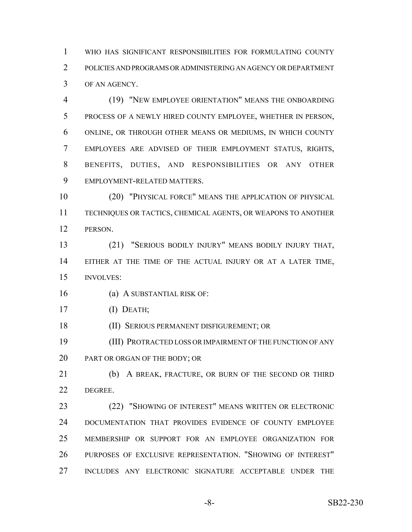WHO HAS SIGNIFICANT RESPONSIBILITIES FOR FORMULATING COUNTY POLICIES AND PROGRAMS OR ADMINISTERING AN AGENCY OR DEPARTMENT OF AN AGENCY.

 (19) "NEW EMPLOYEE ORIENTATION" MEANS THE ONBOARDING PROCESS OF A NEWLY HIRED COUNTY EMPLOYEE, WHETHER IN PERSON, ONLINE, OR THROUGH OTHER MEANS OR MEDIUMS, IN WHICH COUNTY EMPLOYEES ARE ADVISED OF THEIR EMPLOYMENT STATUS, RIGHTS, BENEFITS, DUTIES, AND RESPONSIBILITIES OR ANY OTHER EMPLOYMENT-RELATED MATTERS.

 (20) "PHYSICAL FORCE" MEANS THE APPLICATION OF PHYSICAL TECHNIQUES OR TACTICS, CHEMICAL AGENTS, OR WEAPONS TO ANOTHER PERSON.

 (21) "SERIOUS BODILY INJURY" MEANS BODILY INJURY THAT, EITHER AT THE TIME OF THE ACTUAL INJURY OR AT A LATER TIME, INVOLVES:

(a) A SUBSTANTIAL RISK OF:

(I) DEATH;

(II) SERIOUS PERMANENT DISFIGUREMENT; OR

 (III) PROTRACTED LOSS OR IMPAIRMENT OF THE FUNCTION OF ANY 20 PART OR ORGAN OF THE BODY; OR

 (b) A BREAK, FRACTURE, OR BURN OF THE SECOND OR THIRD DEGREE.

 (22) "SHOWING OF INTEREST" MEANS WRITTEN OR ELECTRONIC DOCUMENTATION THAT PROVIDES EVIDENCE OF COUNTY EMPLOYEE MEMBERSHIP OR SUPPORT FOR AN EMPLOYEE ORGANIZATION FOR PURPOSES OF EXCLUSIVE REPRESENTATION. "SHOWING OF INTEREST" INCLUDES ANY ELECTRONIC SIGNATURE ACCEPTABLE UNDER THE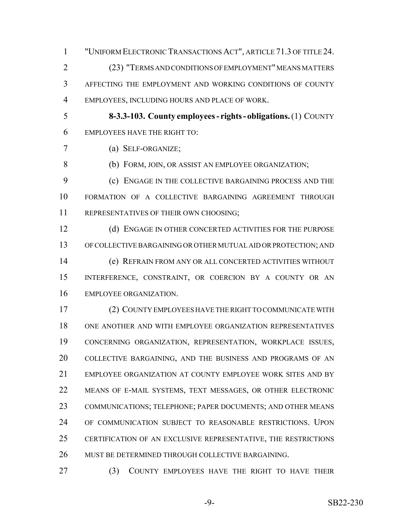"UNIFORM ELECTRONIC TRANSACTIONS ACT", ARTICLE 71.3 OF TITLE 24. (23) "TERMS AND CONDITIONS OF EMPLOYMENT" MEANS MATTERS AFFECTING THE EMPLOYMENT AND WORKING CONDITIONS OF COUNTY EMPLOYEES, INCLUDING HOURS AND PLACE OF WORK.

 **8-3.3-103. County employees - rights - obligations.** (1) COUNTY EMPLOYEES HAVE THE RIGHT TO:

(a) SELF-ORGANIZE;

(b) FORM, JOIN, OR ASSIST AN EMPLOYEE ORGANIZATION;

 (c) ENGAGE IN THE COLLECTIVE BARGAINING PROCESS AND THE FORMATION OF A COLLECTIVE BARGAINING AGREEMENT THROUGH REPRESENTATIVES OF THEIR OWN CHOOSING;

12 (d) ENGAGE IN OTHER CONCERTED ACTIVITIES FOR THE PURPOSE OF COLLECTIVE BARGAINING OR OTHER MUTUAL AID OR PROTECTION; AND (e) REFRAIN FROM ANY OR ALL CONCERTED ACTIVITIES WITHOUT INTERFERENCE, CONSTRAINT, OR COERCION BY A COUNTY OR AN EMPLOYEE ORGANIZATION.

 (2) COUNTY EMPLOYEES HAVE THE RIGHT TO COMMUNICATE WITH ONE ANOTHER AND WITH EMPLOYEE ORGANIZATION REPRESENTATIVES CONCERNING ORGANIZATION, REPRESENTATION, WORKPLACE ISSUES, COLLECTIVE BARGAINING, AND THE BUSINESS AND PROGRAMS OF AN EMPLOYEE ORGANIZATION AT COUNTY EMPLOYEE WORK SITES AND BY MEANS OF E-MAIL SYSTEMS, TEXT MESSAGES, OR OTHER ELECTRONIC 23 COMMUNICATIONS; TELEPHONE; PAPER DOCUMENTS; AND OTHER MEANS OF COMMUNICATION SUBJECT TO REASONABLE RESTRICTIONS. UPON CERTIFICATION OF AN EXCLUSIVE REPRESENTATIVE, THE RESTRICTIONS MUST BE DETERMINED THROUGH COLLECTIVE BARGAINING.

(3) COUNTY EMPLOYEES HAVE THE RIGHT TO HAVE THEIR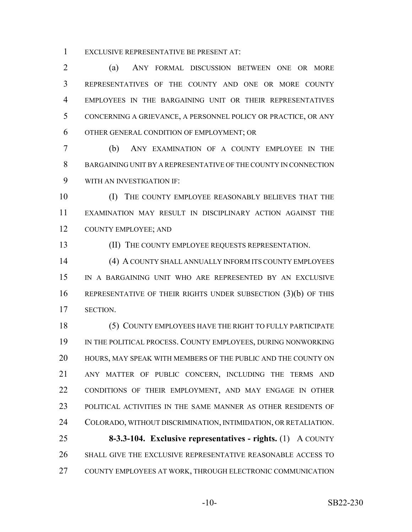EXCLUSIVE REPRESENTATIVE BE PRESENT AT:

 (a) ANY FORMAL DISCUSSION BETWEEN ONE OR MORE REPRESENTATIVES OF THE COUNTY AND ONE OR MORE COUNTY EMPLOYEES IN THE BARGAINING UNIT OR THEIR REPRESENTATIVES CONCERNING A GRIEVANCE, A PERSONNEL POLICY OR PRACTICE, OR ANY OTHER GENERAL CONDITION OF EMPLOYMENT; OR

 (b) ANY EXAMINATION OF A COUNTY EMPLOYEE IN THE BARGAINING UNIT BY A REPRESENTATIVE OF THE COUNTY IN CONNECTION WITH AN INVESTIGATION IF:

 (I) THE COUNTY EMPLOYEE REASONABLY BELIEVES THAT THE EXAMINATION MAY RESULT IN DISCIPLINARY ACTION AGAINST THE COUNTY EMPLOYEE; AND

13 (II) THE COUNTY EMPLOYEE REQUESTS REPRESENTATION.

 (4) A COUNTY SHALL ANNUALLY INFORM ITS COUNTY EMPLOYEES IN A BARGAINING UNIT WHO ARE REPRESENTED BY AN EXCLUSIVE REPRESENTATIVE OF THEIR RIGHTS UNDER SUBSECTION (3)(b) OF THIS SECTION.

 (5) COUNTY EMPLOYEES HAVE THE RIGHT TO FULLY PARTICIPATE 19 IN THE POLITICAL PROCESS. COUNTY EMPLOYEES, DURING NONWORKING HOURS, MAY SPEAK WITH MEMBERS OF THE PUBLIC AND THE COUNTY ON ANY MATTER OF PUBLIC CONCERN, INCLUDING THE TERMS AND CONDITIONS OF THEIR EMPLOYMENT, AND MAY ENGAGE IN OTHER POLITICAL ACTIVITIES IN THE SAME MANNER AS OTHER RESIDENTS OF COLORADO, WITHOUT DISCRIMINATION, INTIMIDATION, OR RETALIATION. **8-3.3-104. Exclusive representatives - rights.** (1) A COUNTY

 SHALL GIVE THE EXCLUSIVE REPRESENTATIVE REASONABLE ACCESS TO COUNTY EMPLOYEES AT WORK, THROUGH ELECTRONIC COMMUNICATION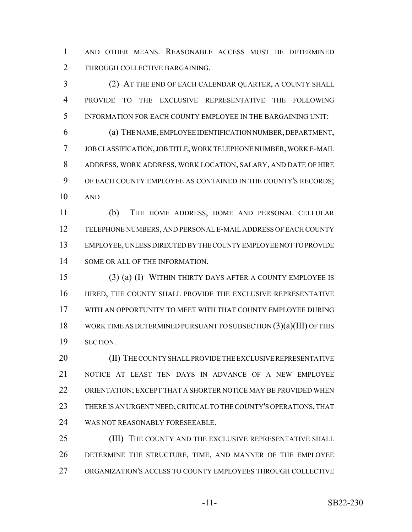AND OTHER MEANS. REASONABLE ACCESS MUST BE DETERMINED 2 THROUGH COLLECTIVE BARGAINING.

 (2) AT THE END OF EACH CALENDAR QUARTER, A COUNTY SHALL PROVIDE TO THE EXCLUSIVE REPRESENTATIVE THE FOLLOWING INFORMATION FOR EACH COUNTY EMPLOYEE IN THE BARGAINING UNIT:

 (a) THE NAME, EMPLOYEE IDENTIFICATION NUMBER, DEPARTMENT, JOB CLASSIFICATION, JOB TITLE, WORK TELEPHONE NUMBER, WORK E-MAIL ADDRESS, WORK ADDRESS, WORK LOCATION, SALARY, AND DATE OF HIRE OF EACH COUNTY EMPLOYEE AS CONTAINED IN THE COUNTY'S RECORDS; AND

 (b) THE HOME ADDRESS, HOME AND PERSONAL CELLULAR TELEPHONE NUMBERS, AND PERSONAL E-MAIL ADDRESS OF EACH COUNTY EMPLOYEE, UNLESS DIRECTED BY THE COUNTY EMPLOYEE NOT TO PROVIDE 14 SOME OR ALL OF THE INFORMATION.

 (3) (a) (I) WITHIN THIRTY DAYS AFTER A COUNTY EMPLOYEE IS HIRED, THE COUNTY SHALL PROVIDE THE EXCLUSIVE REPRESENTATIVE WITH AN OPPORTUNITY TO MEET WITH THAT COUNTY EMPLOYEE DURING WORK TIME AS DETERMINED PURSUANT TO SUBSECTION (3)(a)(III) OF THIS SECTION.

20 (II) THE COUNTY SHALL PROVIDE THE EXCLUSIVE REPRESENTATIVE NOTICE AT LEAST TEN DAYS IN ADVANCE OF A NEW EMPLOYEE ORIENTATION; EXCEPT THAT A SHORTER NOTICE MAY BE PROVIDED WHEN THERE IS AN URGENT NEED, CRITICAL TO THE COUNTY'S OPERATIONS, THAT WAS NOT REASONABLY FORESEEABLE.

25 (III) THE COUNTY AND THE EXCLUSIVE REPRESENTATIVE SHALL DETERMINE THE STRUCTURE, TIME, AND MANNER OF THE EMPLOYEE ORGANIZATION'S ACCESS TO COUNTY EMPLOYEES THROUGH COLLECTIVE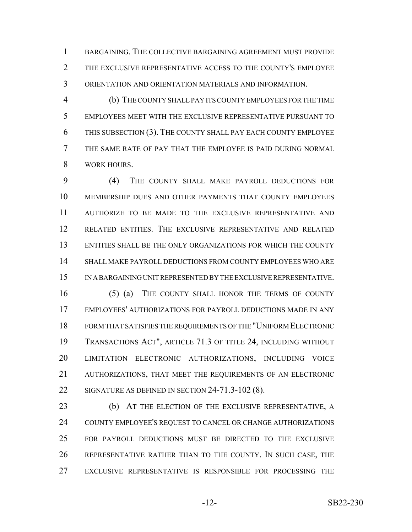BARGAINING. THE COLLECTIVE BARGAINING AGREEMENT MUST PROVIDE THE EXCLUSIVE REPRESENTATIVE ACCESS TO THE COUNTY'S EMPLOYEE ORIENTATION AND ORIENTATION MATERIALS AND INFORMATION.

 (b) THE COUNTY SHALL PAY ITS COUNTY EMPLOYEES FOR THE TIME EMPLOYEES MEET WITH THE EXCLUSIVE REPRESENTATIVE PURSUANT TO THIS SUBSECTION (3). THE COUNTY SHALL PAY EACH COUNTY EMPLOYEE THE SAME RATE OF PAY THAT THE EMPLOYEE IS PAID DURING NORMAL WORK HOURS.

 (4) THE COUNTY SHALL MAKE PAYROLL DEDUCTIONS FOR MEMBERSHIP DUES AND OTHER PAYMENTS THAT COUNTY EMPLOYEES AUTHORIZE TO BE MADE TO THE EXCLUSIVE REPRESENTATIVE AND RELATED ENTITIES. THE EXCLUSIVE REPRESENTATIVE AND RELATED ENTITIES SHALL BE THE ONLY ORGANIZATIONS FOR WHICH THE COUNTY SHALL MAKE PAYROLL DEDUCTIONS FROM COUNTY EMPLOYEES WHO ARE IN A BARGAINING UNIT REPRESENTED BY THE EXCLUSIVE REPRESENTATIVE.

 (5) (a) THE COUNTY SHALL HONOR THE TERMS OF COUNTY EMPLOYEES' AUTHORIZATIONS FOR PAYROLL DEDUCTIONS MADE IN ANY FORM THAT SATISFIES THE REQUIREMENTS OF THE "UNIFORM ELECTRONIC TRANSACTIONS ACT", ARTICLE 71.3 OF TITLE 24, INCLUDING WITHOUT LIMITATION ELECTRONIC AUTHORIZATIONS, INCLUDING VOICE AUTHORIZATIONS, THAT MEET THE REQUIREMENTS OF AN ELECTRONIC 22 SIGNATURE AS DEFINED IN SECTION 24-71.3-102 (8).

 (b) AT THE ELECTION OF THE EXCLUSIVE REPRESENTATIVE, A COUNTY EMPLOYEE'S REQUEST TO CANCEL OR CHANGE AUTHORIZATIONS FOR PAYROLL DEDUCTIONS MUST BE DIRECTED TO THE EXCLUSIVE REPRESENTATIVE RATHER THAN TO THE COUNTY. IN SUCH CASE, THE EXCLUSIVE REPRESENTATIVE IS RESPONSIBLE FOR PROCESSING THE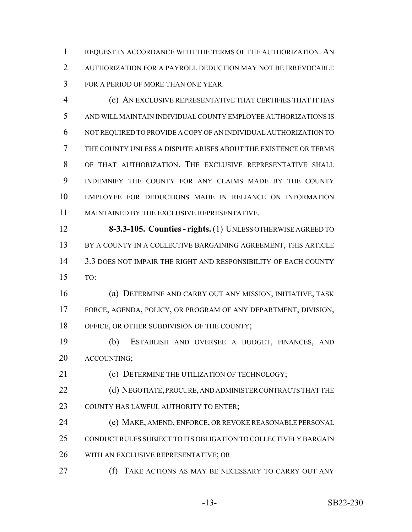REQUEST IN ACCORDANCE WITH THE TERMS OF THE AUTHORIZATION. AN AUTHORIZATION FOR A PAYROLL DEDUCTION MAY NOT BE IRREVOCABLE FOR A PERIOD OF MORE THAN ONE YEAR.

 (c) AN EXCLUSIVE REPRESENTATIVE THAT CERTIFIES THAT IT HAS AND WILL MAINTAIN INDIVIDUAL COUNTY EMPLOYEE AUTHORIZATIONS IS NOT REQUIRED TO PROVIDE A COPY OF AN INDIVIDUAL AUTHORIZATION TO THE COUNTY UNLESS A DISPUTE ARISES ABOUT THE EXISTENCE OR TERMS OF THAT AUTHORIZATION. THE EXCLUSIVE REPRESENTATIVE SHALL INDEMNIFY THE COUNTY FOR ANY CLAIMS MADE BY THE COUNTY EMPLOYEE FOR DEDUCTIONS MADE IN RELIANCE ON INFORMATION MAINTAINED BY THE EXCLUSIVE REPRESENTATIVE.

 **8-3.3-105. Counties - rights.** (1) UNLESS OTHERWISE AGREED TO 13 BY A COUNTY IN A COLLECTIVE BARGAINING AGREEMENT, THIS ARTICLE 3.3 DOES NOT IMPAIR THE RIGHT AND RESPONSIBILITY OF EACH COUNTY TO:

 (a) DETERMINE AND CARRY OUT ANY MISSION, INITIATIVE, TASK FORCE, AGENDA, POLICY, OR PROGRAM OF ANY DEPARTMENT, DIVISION, 18 OFFICE, OR OTHER SUBDIVISION OF THE COUNTY;

 (b) ESTABLISH AND OVERSEE A BUDGET, FINANCES, AND ACCOUNTING;

**(c) DETERMINE THE UTILIZATION OF TECHNOLOGY;** 

22 (d) NEGOTIATE, PROCURE, AND ADMINISTER CONTRACTS THAT THE COUNTY HAS LAWFUL AUTHORITY TO ENTER;

(e) MAKE, AMEND, ENFORCE, OR REVOKE REASONABLE PERSONAL

CONDUCT RULES SUBJECT TO ITS OBLIGATION TO COLLECTIVELY BARGAIN

WITH AN EXCLUSIVE REPRESENTATIVE; OR

**(f)** TAKE ACTIONS AS MAY BE NECESSARY TO CARRY OUT ANY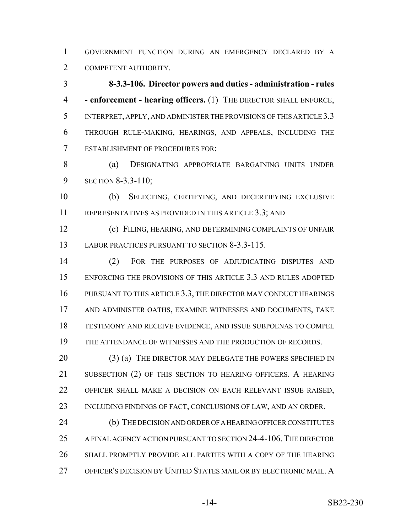GOVERNMENT FUNCTION DURING AN EMERGENCY DECLARED BY A COMPETENT AUTHORITY.

 **8-3.3-106. Director powers and duties - administration - rules - enforcement - hearing officers.** (1) THE DIRECTOR SHALL ENFORCE, INTERPRET, APPLY, AND ADMINISTER THE PROVISIONS OF THIS ARTICLE 3.3 THROUGH RULE-MAKING, HEARINGS, AND APPEALS, INCLUDING THE ESTABLISHMENT OF PROCEDURES FOR:

 (a) DESIGNATING APPROPRIATE BARGAINING UNITS UNDER SECTION 8-3.3-110;

 (b) SELECTING, CERTIFYING, AND DECERTIFYING EXCLUSIVE REPRESENTATIVES AS PROVIDED IN THIS ARTICLE 3.3; AND

 (c) FILING, HEARING, AND DETERMINING COMPLAINTS OF UNFAIR 13 LABOR PRACTICES PURSUANT TO SECTION 8-3.3-115.

 (2) FOR THE PURPOSES OF ADJUDICATING DISPUTES AND ENFORCING THE PROVISIONS OF THIS ARTICLE 3.3 AND RULES ADOPTED PURSUANT TO THIS ARTICLE 3.3, THE DIRECTOR MAY CONDUCT HEARINGS AND ADMINISTER OATHS, EXAMINE WITNESSES AND DOCUMENTS, TAKE TESTIMONY AND RECEIVE EVIDENCE, AND ISSUE SUBPOENAS TO COMPEL THE ATTENDANCE OF WITNESSES AND THE PRODUCTION OF RECORDS.

20 (3) (a) THE DIRECTOR MAY DELEGATE THE POWERS SPECIFIED IN SUBSECTION (2) OF THIS SECTION TO HEARING OFFICERS. A HEARING OFFICER SHALL MAKE A DECISION ON EACH RELEVANT ISSUE RAISED, INCLUDING FINDINGS OF FACT, CONCLUSIONS OF LAW, AND AN ORDER.

 (b) THE DECISION AND ORDER OF A HEARING OFFICER CONSTITUTES A FINAL AGENCY ACTION PURSUANT TO SECTION 24-4-106.THE DIRECTOR SHALL PROMPTLY PROVIDE ALL PARTIES WITH A COPY OF THE HEARING OFFICER'S DECISION BY UNITED STATES MAIL OR BY ELECTRONIC MAIL. A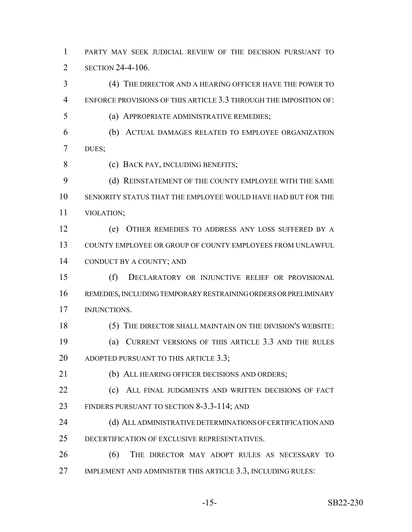PARTY MAY SEEK JUDICIAL REVIEW OF THE DECISION PURSUANT TO 2 SECTION 24-4-106.

 (4) THE DIRECTOR AND A HEARING OFFICER HAVE THE POWER TO ENFORCE PROVISIONS OF THIS ARTICLE 3.3 THROUGH THE IMPOSITION OF:

(a) APPROPRIATE ADMINISTRATIVE REMEDIES;

 (b) ACTUAL DAMAGES RELATED TO EMPLOYEE ORGANIZATION DUES;

8 (c) BACK PAY, INCLUDING BENEFITS;

9 (d) REINSTATEMENT OF THE COUNTY EMPLOYEE WITH THE SAME SENIORITY STATUS THAT THE EMPLOYEE WOULD HAVE HAD BUT FOR THE VIOLATION;

 (e) OTHER REMEDIES TO ADDRESS ANY LOSS SUFFERED BY A COUNTY EMPLOYEE OR GROUP OF COUNTY EMPLOYEES FROM UNLAWFUL CONDUCT BY A COUNTY; AND

 (f) DECLARATORY OR INJUNCTIVE RELIEF OR PROVISIONAL REMEDIES, INCLUDING TEMPORARY RESTRAINING ORDERS OR PRELIMINARY INJUNCTIONS.

(5) THE DIRECTOR SHALL MAINTAIN ON THE DIVISION'S WEBSITE:

 (a) CURRENT VERSIONS OF THIS ARTICLE 3.3 AND THE RULES 20 ADOPTED PURSUANT TO THIS ARTICLE 3.3;

(b) ALL HEARING OFFICER DECISIONS AND ORDERS;

22 (c) ALL FINAL JUDGMENTS AND WRITTEN DECISIONS OF FACT FINDERS PURSUANT TO SECTION 8-3.3-114; AND

24 (d) ALL ADMINISTRATIVE DETERMINATIONS OF CERTIFICATION AND DECERTIFICATION OF EXCLUSIVE REPRESENTATIVES.

 (6) THE DIRECTOR MAY ADOPT RULES AS NECESSARY TO 27 IMPLEMENT AND ADMINISTER THIS ARTICLE 3.3, INCLUDING RULES: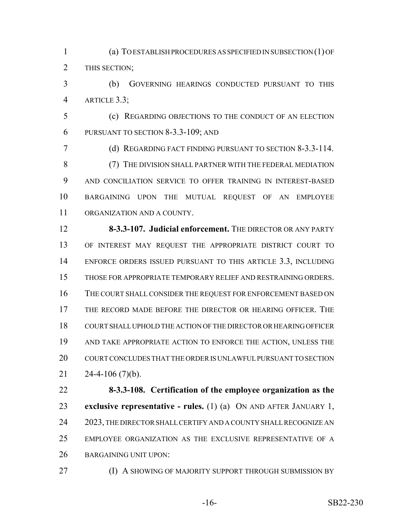(a) TO ESTABLISH PROCEDURES AS SPECIFIED IN SUBSECTION (1) OF THIS SECTION;

 (b) GOVERNING HEARINGS CONDUCTED PURSUANT TO THIS ARTICLE 3.3;

 (c) REGARDING OBJECTIONS TO THE CONDUCT OF AN ELECTION PURSUANT TO SECTION 8-3.3-109; AND

 (d) REGARDING FACT FINDING PURSUANT TO SECTION 8-3.3-114. (7) THE DIVISION SHALL PARTNER WITH THE FEDERAL MEDIATION AND CONCILIATION SERVICE TO OFFER TRAINING IN INTEREST-BASED BARGAINING UPON THE MUTUAL REQUEST OF AN EMPLOYEE ORGANIZATION AND A COUNTY.

 **8-3.3-107. Judicial enforcement.** THE DIRECTOR OR ANY PARTY OF INTEREST MAY REQUEST THE APPROPRIATE DISTRICT COURT TO ENFORCE ORDERS ISSUED PURSUANT TO THIS ARTICLE 3.3, INCLUDING THOSE FOR APPROPRIATE TEMPORARY RELIEF AND RESTRAINING ORDERS. THE COURT SHALL CONSIDER THE REQUEST FOR ENFORCEMENT BASED ON THE RECORD MADE BEFORE THE DIRECTOR OR HEARING OFFICER. THE COURT SHALL UPHOLD THE ACTION OF THE DIRECTOR OR HEARING OFFICER AND TAKE APPROPRIATE ACTION TO ENFORCE THE ACTION, UNLESS THE COURT CONCLUDES THAT THE ORDER IS UNLAWFUL PURSUANT TO SECTION  $24-4-106$  (7)(b).

 **8-3.3-108. Certification of the employee organization as the exclusive representative - rules.** (1) (a) ON AND AFTER JANUARY 1, 24 2023, THE DIRECTOR SHALL CERTIFY AND A COUNTY SHALL RECOGNIZE AN EMPLOYEE ORGANIZATION AS THE EXCLUSIVE REPRESENTATIVE OF A BARGAINING UNIT UPON:

**(I) A SHOWING OF MAJORITY SUPPORT THROUGH SUBMISSION BY**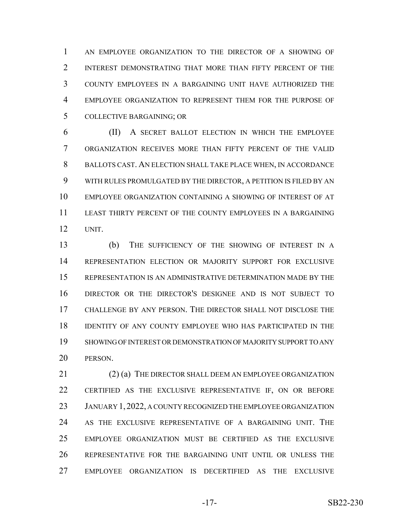AN EMPLOYEE ORGANIZATION TO THE DIRECTOR OF A SHOWING OF 2 INTEREST DEMONSTRATING THAT MORE THAN FIFTY PERCENT OF THE COUNTY EMPLOYEES IN A BARGAINING UNIT HAVE AUTHORIZED THE EMPLOYEE ORGANIZATION TO REPRESENT THEM FOR THE PURPOSE OF COLLECTIVE BARGAINING; OR

 (II) A SECRET BALLOT ELECTION IN WHICH THE EMPLOYEE ORGANIZATION RECEIVES MORE THAN FIFTY PERCENT OF THE VALID BALLOTS CAST. AN ELECTION SHALL TAKE PLACE WHEN, IN ACCORDANCE WITH RULES PROMULGATED BY THE DIRECTOR, A PETITION IS FILED BY AN EMPLOYEE ORGANIZATION CONTAINING A SHOWING OF INTEREST OF AT LEAST THIRTY PERCENT OF THE COUNTY EMPLOYEES IN A BARGAINING UNIT.

 (b) THE SUFFICIENCY OF THE SHOWING OF INTEREST IN A REPRESENTATION ELECTION OR MAJORITY SUPPORT FOR EXCLUSIVE REPRESENTATION IS AN ADMINISTRATIVE DETERMINATION MADE BY THE DIRECTOR OR THE DIRECTOR'S DESIGNEE AND IS NOT SUBJECT TO CHALLENGE BY ANY PERSON. THE DIRECTOR SHALL NOT DISCLOSE THE IDENTITY OF ANY COUNTY EMPLOYEE WHO HAS PARTICIPATED IN THE SHOWING OF INTEREST OR DEMONSTRATION OF MAJORITY SUPPORT TO ANY PERSON.

21 (2) (a) THE DIRECTOR SHALL DEEM AN EMPLOYEE ORGANIZATION CERTIFIED AS THE EXCLUSIVE REPRESENTATIVE IF, ON OR BEFORE 23 JANUARY 1, 2022, A COUNTY RECOGNIZED THE EMPLOYEE ORGANIZATION AS THE EXCLUSIVE REPRESENTATIVE OF A BARGAINING UNIT. THE EMPLOYEE ORGANIZATION MUST BE CERTIFIED AS THE EXCLUSIVE REPRESENTATIVE FOR THE BARGAINING UNIT UNTIL OR UNLESS THE EMPLOYEE ORGANIZATION IS DECERTIFIED AS THE EXCLUSIVE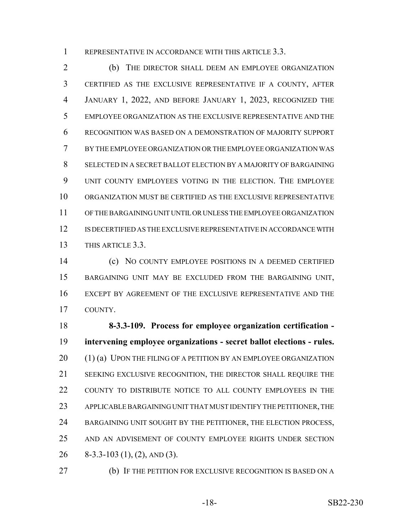1 REPRESENTATIVE IN ACCORDANCE WITH THIS ARTICLE 3.3.

 (b) THE DIRECTOR SHALL DEEM AN EMPLOYEE ORGANIZATION CERTIFIED AS THE EXCLUSIVE REPRESENTATIVE IF A COUNTY, AFTER JANUARY 1, 2022, AND BEFORE JANUARY 1, 2023, RECOGNIZED THE EMPLOYEE ORGANIZATION AS THE EXCLUSIVE REPRESENTATIVE AND THE RECOGNITION WAS BASED ON A DEMONSTRATION OF MAJORITY SUPPORT BY THE EMPLOYEE ORGANIZATION OR THE EMPLOYEE ORGANIZATION WAS SELECTED IN A SECRET BALLOT ELECTION BY A MAJORITY OF BARGAINING UNIT COUNTY EMPLOYEES VOTING IN THE ELECTION. THE EMPLOYEE ORGANIZATION MUST BE CERTIFIED AS THE EXCLUSIVE REPRESENTATIVE OF THE BARGAINING UNIT UNTIL OR UNLESS THE EMPLOYEE ORGANIZATION IS DECERTIFIED AS THE EXCLUSIVE REPRESENTATIVE IN ACCORDANCE WITH THIS ARTICLE 3.3.

 (c) NO COUNTY EMPLOYEE POSITIONS IN A DEEMED CERTIFIED BARGAINING UNIT MAY BE EXCLUDED FROM THE BARGAINING UNIT, EXCEPT BY AGREEMENT OF THE EXCLUSIVE REPRESENTATIVE AND THE COUNTY.

 **8-3.3-109. Process for employee organization certification - intervening employee organizations - secret ballot elections - rules.** 20 (1) (a) UPON THE FILING OF A PETITION BY AN EMPLOYEE ORGANIZATION SEEKING EXCLUSIVE RECOGNITION, THE DIRECTOR SHALL REQUIRE THE COUNTY TO DISTRIBUTE NOTICE TO ALL COUNTY EMPLOYEES IN THE APPLICABLE BARGAINING UNIT THAT MUST IDENTIFY THE PETITIONER, THE 24 BARGAINING UNIT SOUGHT BY THE PETITIONER, THE ELECTION PROCESS, AND AN ADVISEMENT OF COUNTY EMPLOYEE RIGHTS UNDER SECTION 8-3.3-103 (1), (2), AND (3).

(b) IF THE PETITION FOR EXCLUSIVE RECOGNITION IS BASED ON A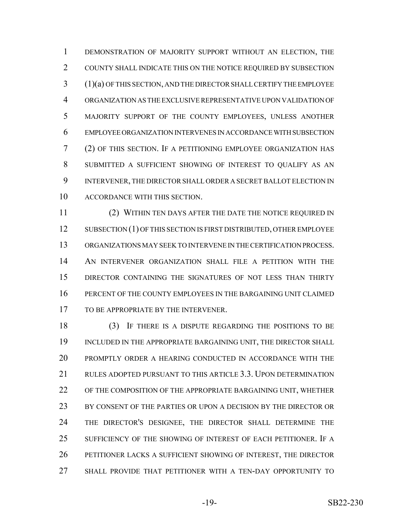DEMONSTRATION OF MAJORITY SUPPORT WITHOUT AN ELECTION, THE COUNTY SHALL INDICATE THIS ON THE NOTICE REQUIRED BY SUBSECTION (1)(a) OF THIS SECTION, AND THE DIRECTOR SHALL CERTIFY THE EMPLOYEE ORGANIZATION AS THE EXCLUSIVE REPRESENTATIVE UPON VALIDATION OF MAJORITY SUPPORT OF THE COUNTY EMPLOYEES, UNLESS ANOTHER EMPLOYEE ORGANIZATION INTERVENES IN ACCORDANCE WITH SUBSECTION (2) OF THIS SECTION. IF A PETITIONING EMPLOYEE ORGANIZATION HAS SUBMITTED A SUFFICIENT SHOWING OF INTEREST TO QUALIFY AS AN INTERVENER, THE DIRECTOR SHALL ORDER A SECRET BALLOT ELECTION IN ACCORDANCE WITH THIS SECTION.

 (2) WITHIN TEN DAYS AFTER THE DATE THE NOTICE REQUIRED IN 12 SUBSECTION (1) OF THIS SECTION IS FIRST DISTRIBUTED, OTHER EMPLOYEE ORGANIZATIONS MAY SEEK TO INTERVENE IN THE CERTIFICATION PROCESS. AN INTERVENER ORGANIZATION SHALL FILE A PETITION WITH THE DIRECTOR CONTAINING THE SIGNATURES OF NOT LESS THAN THIRTY PERCENT OF THE COUNTY EMPLOYEES IN THE BARGAINING UNIT CLAIMED 17 TO BE APPROPRIATE BY THE INTERVENER.

 (3) IF THERE IS A DISPUTE REGARDING THE POSITIONS TO BE 19 INCLUDED IN THE APPROPRIATE BARGAINING UNIT, THE DIRECTOR SHALL PROMPTLY ORDER A HEARING CONDUCTED IN ACCORDANCE WITH THE RULES ADOPTED PURSUANT TO THIS ARTICLE 3.3. UPON DETERMINATION OF THE COMPOSITION OF THE APPROPRIATE BARGAINING UNIT, WHETHER BY CONSENT OF THE PARTIES OR UPON A DECISION BY THE DIRECTOR OR THE DIRECTOR'S DESIGNEE, THE DIRECTOR SHALL DETERMINE THE SUFFICIENCY OF THE SHOWING OF INTEREST OF EACH PETITIONER. IF A PETITIONER LACKS A SUFFICIENT SHOWING OF INTEREST, THE DIRECTOR SHALL PROVIDE THAT PETITIONER WITH A TEN-DAY OPPORTUNITY TO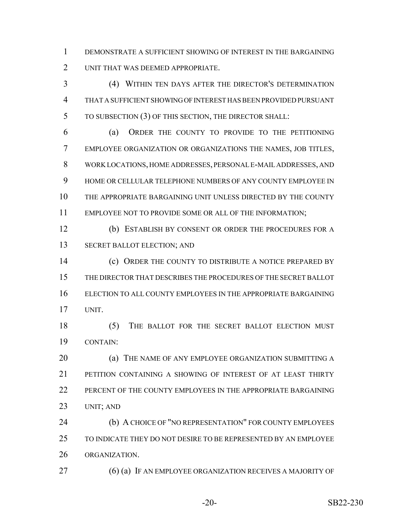DEMONSTRATE A SUFFICIENT SHOWING OF INTEREST IN THE BARGAINING UNIT THAT WAS DEEMED APPROPRIATE.

 (4) WITHIN TEN DAYS AFTER THE DIRECTOR'S DETERMINATION THAT A SUFFICIENT SHOWING OF INTEREST HAS BEEN PROVIDED PURSUANT TO SUBSECTION (3) OF THIS SECTION, THE DIRECTOR SHALL:

 (a) ORDER THE COUNTY TO PROVIDE TO THE PETITIONING EMPLOYEE ORGANIZATION OR ORGANIZATIONS THE NAMES, JOB TITLES, WORK LOCATIONS, HOME ADDRESSES, PERSONAL E-MAIL ADDRESSES, AND HOME OR CELLULAR TELEPHONE NUMBERS OF ANY COUNTY EMPLOYEE IN THE APPROPRIATE BARGAINING UNIT UNLESS DIRECTED BY THE COUNTY EMPLOYEE NOT TO PROVIDE SOME OR ALL OF THE INFORMATION;

 (b) ESTABLISH BY CONSENT OR ORDER THE PROCEDURES FOR A SECRET BALLOT ELECTION; AND

14 (c) ORDER THE COUNTY TO DISTRIBUTE A NOTICE PREPARED BY THE DIRECTOR THAT DESCRIBES THE PROCEDURES OF THE SECRET BALLOT ELECTION TO ALL COUNTY EMPLOYEES IN THE APPROPRIATE BARGAINING UNIT.

18 (5) THE BALLOT FOR THE SECRET BALLOT ELECTION MUST CONTAIN:

**(a) THE NAME OF ANY EMPLOYEE ORGANIZATION SUBMITTING A**  PETITION CONTAINING A SHOWING OF INTEREST OF AT LEAST THIRTY 22 PERCENT OF THE COUNTY EMPLOYEES IN THE APPROPRIATE BARGAINING UNIT; AND

 (b) A CHOICE OF "NO REPRESENTATION" FOR COUNTY EMPLOYEES TO INDICATE THEY DO NOT DESIRE TO BE REPRESENTED BY AN EMPLOYEE ORGANIZATION.

27 (6) (a) IF AN EMPLOYEE ORGANIZATION RECEIVES A MAJORITY OF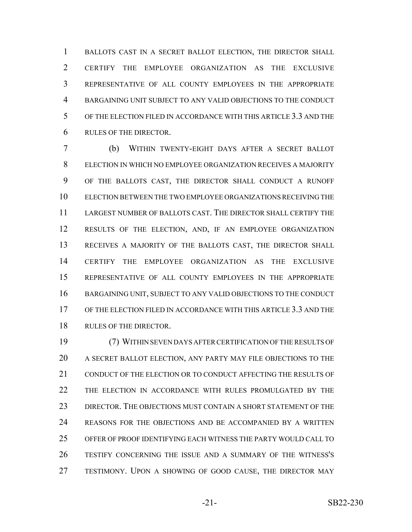1 BALLOTS CAST IN A SECRET BALLOT ELECTION, THE DIRECTOR SHALL CERTIFY THE EMPLOYEE ORGANIZATION AS THE EXCLUSIVE REPRESENTATIVE OF ALL COUNTY EMPLOYEES IN THE APPROPRIATE BARGAINING UNIT SUBJECT TO ANY VALID OBJECTIONS TO THE CONDUCT OF THE ELECTION FILED IN ACCORDANCE WITH THIS ARTICLE 3.3 AND THE RULES OF THE DIRECTOR.

 (b) WITHIN TWENTY-EIGHT DAYS AFTER A SECRET BALLOT ELECTION IN WHICH NO EMPLOYEE ORGANIZATION RECEIVES A MAJORITY OF THE BALLOTS CAST, THE DIRECTOR SHALL CONDUCT A RUNOFF ELECTION BETWEEN THE TWO EMPLOYEE ORGANIZATIONS RECEIVING THE LARGEST NUMBER OF BALLOTS CAST. THE DIRECTOR SHALL CERTIFY THE RESULTS OF THE ELECTION, AND, IF AN EMPLOYEE ORGANIZATION RECEIVES A MAJORITY OF THE BALLOTS CAST, THE DIRECTOR SHALL CERTIFY THE EMPLOYEE ORGANIZATION AS THE EXCLUSIVE REPRESENTATIVE OF ALL COUNTY EMPLOYEES IN THE APPROPRIATE 16 BARGAINING UNIT, SUBJECT TO ANY VALID OBJECTIONS TO THE CONDUCT OF THE ELECTION FILED IN ACCORDANCE WITH THIS ARTICLE 3.3 AND THE RULES OF THE DIRECTOR.

 (7) WITHIN SEVEN DAYS AFTER CERTIFICATION OF THE RESULTS OF A SECRET BALLOT ELECTION, ANY PARTY MAY FILE OBJECTIONS TO THE CONDUCT OF THE ELECTION OR TO CONDUCT AFFECTING THE RESULTS OF THE ELECTION IN ACCORDANCE WITH RULES PROMULGATED BY THE DIRECTOR. THE OBJECTIONS MUST CONTAIN A SHORT STATEMENT OF THE REASONS FOR THE OBJECTIONS AND BE ACCOMPANIED BY A WRITTEN OFFER OF PROOF IDENTIFYING EACH WITNESS THE PARTY WOULD CALL TO TESTIFY CONCERNING THE ISSUE AND A SUMMARY OF THE WITNESS'S 27 TESTIMONY. UPON A SHOWING OF GOOD CAUSE, THE DIRECTOR MAY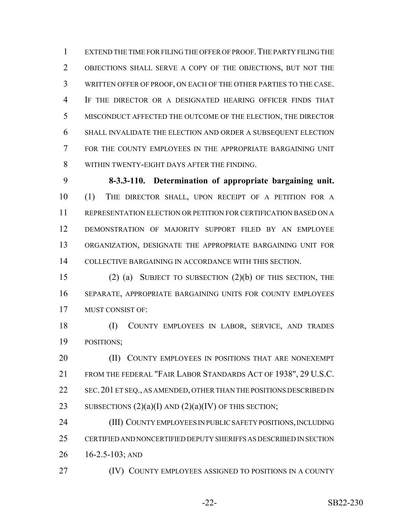EXTEND THE TIME FOR FILING THE OFFER OF PROOF.THE PARTY FILING THE OBJECTIONS SHALL SERVE A COPY OF THE OBJECTIONS, BUT NOT THE WRITTEN OFFER OF PROOF, ON EACH OF THE OTHER PARTIES TO THE CASE. IF THE DIRECTOR OR A DESIGNATED HEARING OFFICER FINDS THAT MISCONDUCT AFFECTED THE OUTCOME OF THE ELECTION, THE DIRECTOR SHALL INVALIDATE THE ELECTION AND ORDER A SUBSEQUENT ELECTION FOR THE COUNTY EMPLOYEES IN THE APPROPRIATE BARGAINING UNIT WITHIN TWENTY-EIGHT DAYS AFTER THE FINDING.

 **8-3.3-110. Determination of appropriate bargaining unit.** (1) THE DIRECTOR SHALL, UPON RECEIPT OF A PETITION FOR A REPRESENTATION ELECTION OR PETITION FOR CERTIFICATION BASED ON A DEMONSTRATION OF MAJORITY SUPPORT FILED BY AN EMPLOYEE ORGANIZATION, DESIGNATE THE APPROPRIATE BARGAINING UNIT FOR COLLECTIVE BARGAINING IN ACCORDANCE WITH THIS SECTION.

 (2) (a) SUBJECT TO SUBSECTION (2)(b) OF THIS SECTION, THE SEPARATE, APPROPRIATE BARGAINING UNITS FOR COUNTY EMPLOYEES MUST CONSIST OF:

 (I) COUNTY EMPLOYEES IN LABOR, SERVICE, AND TRADES POSITIONS;

**(II) COUNTY EMPLOYEES IN POSITIONS THAT ARE NONEXEMPT**  FROM THE FEDERAL "FAIR LABOR STANDARDS ACT OF 1938", 29 U.S.C. 22 SEC. 201 ET SEQ., AS AMENDED, OTHER THAN THE POSITIONS DESCRIBED IN 23 SUBSECTIONS  $(2)(a)(I)$  AND  $(2)(a)(IV)$  OF THIS SECTION;

 (III) COUNTY EMPLOYEES IN PUBLIC SAFETY POSITIONS, INCLUDING CERTIFIED AND NONCERTIFIED DEPUTY SHERIFFS AS DESCRIBED IN SECTION 16-2.5-103; AND

**(IV) COUNTY EMPLOYEES ASSIGNED TO POSITIONS IN A COUNTY**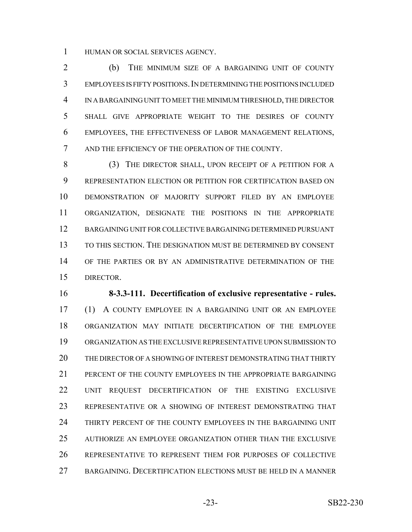HUMAN OR SOCIAL SERVICES AGENCY.

 (b) THE MINIMUM SIZE OF A BARGAINING UNIT OF COUNTY EMPLOYEES IS FIFTY POSITIONS.IN DETERMINING THE POSITIONS INCLUDED IN A BARGAINING UNIT TO MEET THE MINIMUM THRESHOLD, THE DIRECTOR SHALL GIVE APPROPRIATE WEIGHT TO THE DESIRES OF COUNTY EMPLOYEES, THE EFFECTIVENESS OF LABOR MANAGEMENT RELATIONS, AND THE EFFICIENCY OF THE OPERATION OF THE COUNTY.

8 (3) THE DIRECTOR SHALL, UPON RECEIPT OF A PETITION FOR A REPRESENTATION ELECTION OR PETITION FOR CERTIFICATION BASED ON DEMONSTRATION OF MAJORITY SUPPORT FILED BY AN EMPLOYEE ORGANIZATION, DESIGNATE THE POSITIONS IN THE APPROPRIATE BARGAINING UNIT FOR COLLECTIVE BARGAINING DETERMINED PURSUANT TO THIS SECTION. THE DESIGNATION MUST BE DETERMINED BY CONSENT OF THE PARTIES OR BY AN ADMINISTRATIVE DETERMINATION OF THE DIRECTOR.

 **8-3.3-111. Decertification of exclusive representative - rules.** (1) A COUNTY EMPLOYEE IN A BARGAINING UNIT OR AN EMPLOYEE ORGANIZATION MAY INITIATE DECERTIFICATION OF THE EMPLOYEE ORGANIZATION AS THE EXCLUSIVE REPRESENTATIVE UPON SUBMISSION TO THE DIRECTOR OF A SHOWING OF INTEREST DEMONSTRATING THAT THIRTY PERCENT OF THE COUNTY EMPLOYEES IN THE APPROPRIATE BARGAINING UNIT REQUEST DECERTIFICATION OF THE EXISTING EXCLUSIVE REPRESENTATIVE OR A SHOWING OF INTEREST DEMONSTRATING THAT THIRTY PERCENT OF THE COUNTY EMPLOYEES IN THE BARGAINING UNIT AUTHORIZE AN EMPLOYEE ORGANIZATION OTHER THAN THE EXCLUSIVE REPRESENTATIVE TO REPRESENT THEM FOR PURPOSES OF COLLECTIVE BARGAINING. DECERTIFICATION ELECTIONS MUST BE HELD IN A MANNER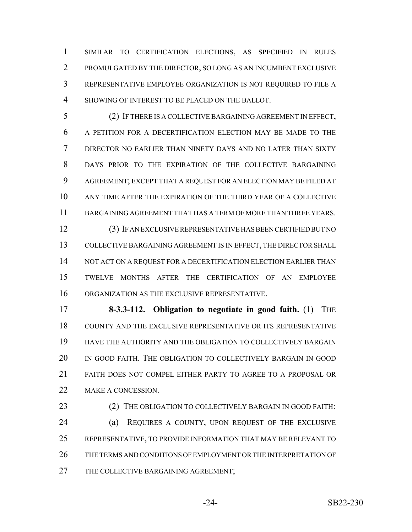SIMILAR TO CERTIFICATION ELECTIONS, AS SPECIFIED IN RULES PROMULGATED BY THE DIRECTOR, SO LONG AS AN INCUMBENT EXCLUSIVE REPRESENTATIVE EMPLOYEE ORGANIZATION IS NOT REQUIRED TO FILE A SHOWING OF INTEREST TO BE PLACED ON THE BALLOT.

 (2) IF THERE IS A COLLECTIVE BARGAINING AGREEMENT IN EFFECT, A PETITION FOR A DECERTIFICATION ELECTION MAY BE MADE TO THE DIRECTOR NO EARLIER THAN NINETY DAYS AND NO LATER THAN SIXTY DAYS PRIOR TO THE EXPIRATION OF THE COLLECTIVE BARGAINING AGREEMENT; EXCEPT THAT A REQUEST FOR AN ELECTION MAY BE FILED AT ANY TIME AFTER THE EXPIRATION OF THE THIRD YEAR OF A COLLECTIVE BARGAINING AGREEMENT THAT HAS A TERM OF MORE THAN THREE YEARS. (3) IF AN EXCLUSIVE REPRESENTATIVE HAS BEEN CERTIFIED BUT NO 13 COLLECTIVE BARGAINING AGREEMENT IS IN EFFECT, THE DIRECTOR SHALL

14 NOT ACT ON A REQUEST FOR A DECERTIFICATION ELECTION EARLIER THAN TWELVE MONTHS AFTER THE CERTIFICATION OF AN EMPLOYEE ORGANIZATION AS THE EXCLUSIVE REPRESENTATIVE.

 **8-3.3-112. Obligation to negotiate in good faith.** (1) THE COUNTY AND THE EXCLUSIVE REPRESENTATIVE OR ITS REPRESENTATIVE HAVE THE AUTHORITY AND THE OBLIGATION TO COLLECTIVELY BARGAIN IN GOOD FAITH. THE OBLIGATION TO COLLECTIVELY BARGAIN IN GOOD FAITH DOES NOT COMPEL EITHER PARTY TO AGREE TO A PROPOSAL OR 22 MAKE A CONCESSION.

23 (2) THE OBLIGATION TO COLLECTIVELY BARGAIN IN GOOD FAITH: (a) REQUIRES A COUNTY, UPON REQUEST OF THE EXCLUSIVE REPRESENTATIVE, TO PROVIDE INFORMATION THAT MAY BE RELEVANT TO THE TERMS AND CONDITIONS OF EMPLOYMENT OR THE INTERPRETATION OF 27 THE COLLECTIVE BARGAINING AGREEMENT;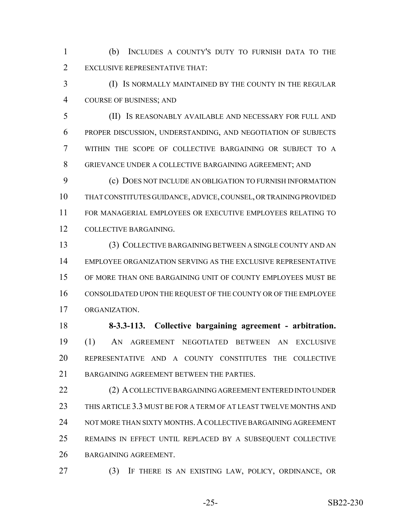(b) INCLUDES A COUNTY'S DUTY TO FURNISH DATA TO THE EXCLUSIVE REPRESENTATIVE THAT:

 (I) IS NORMALLY MAINTAINED BY THE COUNTY IN THE REGULAR COURSE OF BUSINESS; AND

 (II) IS REASONABLY AVAILABLE AND NECESSARY FOR FULL AND PROPER DISCUSSION, UNDERSTANDING, AND NEGOTIATION OF SUBJECTS WITHIN THE SCOPE OF COLLECTIVE BARGAINING OR SUBJECT TO A GRIEVANCE UNDER A COLLECTIVE BARGAINING AGREEMENT; AND

 (c) DOES NOT INCLUDE AN OBLIGATION TO FURNISH INFORMATION THAT CONSTITUTES GUIDANCE, ADVICE, COUNSEL, OR TRAINING PROVIDED FOR MANAGERIAL EMPLOYEES OR EXECUTIVE EMPLOYEES RELATING TO COLLECTIVE BARGAINING.

 (3) COLLECTIVE BARGAINING BETWEEN A SINGLE COUNTY AND AN EMPLOYEE ORGANIZATION SERVING AS THE EXCLUSIVE REPRESENTATIVE OF MORE THAN ONE BARGAINING UNIT OF COUNTY EMPLOYEES MUST BE CONSOLIDATED UPON THE REQUEST OF THE COUNTY OR OF THE EMPLOYEE ORGANIZATION.

 **8-3.3-113. Collective bargaining agreement - arbitration.** (1) AN AGREEMENT NEGOTIATED BETWEEN AN EXCLUSIVE REPRESENTATIVE AND A COUNTY CONSTITUTES THE COLLECTIVE 21 BARGAINING AGREEMENT BETWEEN THE PARTIES.

 (2) A COLLECTIVE BARGAINING AGREEMENT ENTERED INTO UNDER THIS ARTICLE 3.3 MUST BE FOR A TERM OF AT LEAST TWELVE MONTHS AND 24 NOT MORE THAN SIXTY MONTHS. A COLLECTIVE BARGAINING AGREEMENT REMAINS IN EFFECT UNTIL REPLACED BY A SUBSEQUENT COLLECTIVE BARGAINING AGREEMENT.

(3) IF THERE IS AN EXISTING LAW, POLICY, ORDINANCE, OR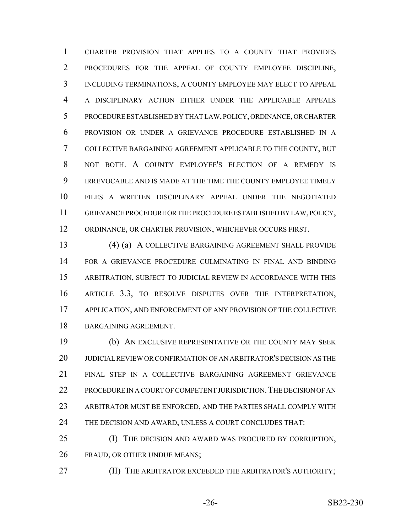CHARTER PROVISION THAT APPLIES TO A COUNTY THAT PROVIDES PROCEDURES FOR THE APPEAL OF COUNTY EMPLOYEE DISCIPLINE, INCLUDING TERMINATIONS, A COUNTY EMPLOYEE MAY ELECT TO APPEAL A DISCIPLINARY ACTION EITHER UNDER THE APPLICABLE APPEALS PROCEDURE ESTABLISHED BY THAT LAW, POLICY, ORDINANCE, OR CHARTER PROVISION OR UNDER A GRIEVANCE PROCEDURE ESTABLISHED IN A COLLECTIVE BARGAINING AGREEMENT APPLICABLE TO THE COUNTY, BUT NOT BOTH. A COUNTY EMPLOYEE'S ELECTION OF A REMEDY IS IRREVOCABLE AND IS MADE AT THE TIME THE COUNTY EMPLOYEE TIMELY FILES A WRITTEN DISCIPLINARY APPEAL UNDER THE NEGOTIATED GRIEVANCE PROCEDURE OR THE PROCEDURE ESTABLISHED BY LAW, POLICY, ORDINANCE, OR CHARTER PROVISION, WHICHEVER OCCURS FIRST.

 (4) (a) A COLLECTIVE BARGAINING AGREEMENT SHALL PROVIDE FOR A GRIEVANCE PROCEDURE CULMINATING IN FINAL AND BINDING ARBITRATION, SUBJECT TO JUDICIAL REVIEW IN ACCORDANCE WITH THIS ARTICLE 3.3, TO RESOLVE DISPUTES OVER THE INTERPRETATION, APPLICATION, AND ENFORCEMENT OF ANY PROVISION OF THE COLLECTIVE BARGAINING AGREEMENT.

 (b) AN EXCLUSIVE REPRESENTATIVE OR THE COUNTY MAY SEEK JUDICIAL REVIEW OR CONFIRMATION OF AN ARBITRATOR'S DECISION AS THE FINAL STEP IN A COLLECTIVE BARGAINING AGREEMENT GRIEVANCE 22 PROCEDURE IN A COURT OF COMPETENT JURISDICTION. THE DECISION OF AN ARBITRATOR MUST BE ENFORCED, AND THE PARTIES SHALL COMPLY WITH 24 THE DECISION AND AWARD, UNLESS A COURT CONCLUDES THAT:

 (I) THE DECISION AND AWARD WAS PROCURED BY CORRUPTION, FRAUD, OR OTHER UNDUE MEANS;

(II) THE ARBITRATOR EXCEEDED THE ARBITRATOR'S AUTHORITY;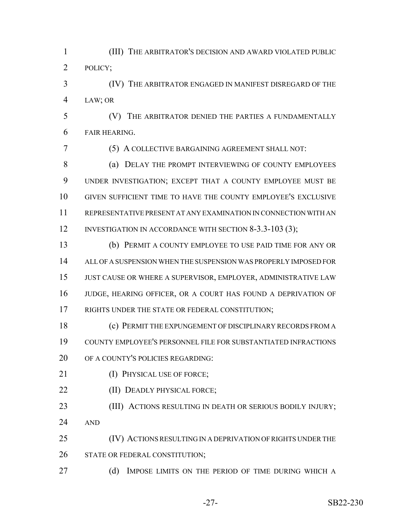(III) THE ARBITRATOR'S DECISION AND AWARD VIOLATED PUBLIC POLICY;

 (IV) THE ARBITRATOR ENGAGED IN MANIFEST DISREGARD OF THE LAW; OR

 (V) THE ARBITRATOR DENIED THE PARTIES A FUNDAMENTALLY FAIR HEARING.

(5) A COLLECTIVE BARGAINING AGREEMENT SHALL NOT:

8 (a) DELAY THE PROMPT INTERVIEWING OF COUNTY EMPLOYEES UNDER INVESTIGATION; EXCEPT THAT A COUNTY EMPLOYEE MUST BE GIVEN SUFFICIENT TIME TO HAVE THE COUNTY EMPLOYEE'S EXCLUSIVE REPRESENTATIVE PRESENT AT ANY EXAMINATION IN CONNECTION WITH AN 12 INVESTIGATION IN ACCORDANCE WITH SECTION 8-3.3-103 (3);

 (b) PERMIT A COUNTY EMPLOYEE TO USE PAID TIME FOR ANY OR ALL OF A SUSPENSION WHEN THE SUSPENSION WAS PROPERLY IMPOSED FOR JUST CAUSE OR WHERE A SUPERVISOR, EMPLOYER, ADMINISTRATIVE LAW JUDGE, HEARING OFFICER, OR A COURT HAS FOUND A DEPRIVATION OF 17 RIGHTS UNDER THE STATE OR FEDERAL CONSTITUTION;

 (c) PERMIT THE EXPUNGEMENT OF DISCIPLINARY RECORDS FROM A COUNTY EMPLOYEE'S PERSONNEL FILE FOR SUBSTANTIATED INFRACTIONS OF A COUNTY'S POLICIES REGARDING:

- 21 (I) PHYSICAL USE OF FORCE;
- **(II) DEADLY PHYSICAL FORCE;**

**(III) ACTIONS RESULTING IN DEATH OR SERIOUS BODILY INJURY;** AND

 (IV) ACTIONS RESULTING IN A DEPRIVATION OF RIGHTS UNDER THE 26 STATE OR FEDERAL CONSTITUTION;

27 (d) IMPOSE LIMITS ON THE PERIOD OF TIME DURING WHICH A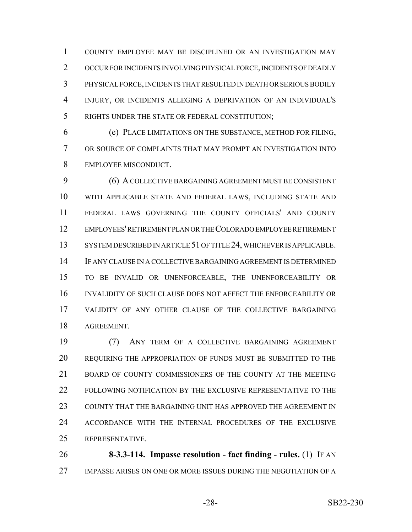COUNTY EMPLOYEE MAY BE DISCIPLINED OR AN INVESTIGATION MAY OCCUR FOR INCIDENTS INVOLVING PHYSICAL FORCE, INCIDENTS OF DEADLY PHYSICAL FORCE, INCIDENTS THAT RESULTED IN DEATH OR SERIOUS BODILY INJURY, OR INCIDENTS ALLEGING A DEPRIVATION OF AN INDIVIDUAL'S RIGHTS UNDER THE STATE OR FEDERAL CONSTITUTION;

 (e) PLACE LIMITATIONS ON THE SUBSTANCE, METHOD FOR FILING, OR SOURCE OF COMPLAINTS THAT MAY PROMPT AN INVESTIGATION INTO EMPLOYEE MISCONDUCT.

 (6) A COLLECTIVE BARGAINING AGREEMENT MUST BE CONSISTENT WITH APPLICABLE STATE AND FEDERAL LAWS, INCLUDING STATE AND FEDERAL LAWS GOVERNING THE COUNTY OFFICIALS' AND COUNTY EMPLOYEES' RETIREMENT PLAN OR THE COLORADO EMPLOYEE RETIREMENT 13 SYSTEM DESCRIBED IN ARTICLE 51 OF TITLE 24, WHICHEVER IS APPLICABLE. IF ANY CLAUSE IN A COLLECTIVE BARGAINING AGREEMENT IS DETERMINED TO BE INVALID OR UNENFORCEABLE, THE UNENFORCEABILITY OR INVALIDITY OF SUCH CLAUSE DOES NOT AFFECT THE ENFORCEABILITY OR VALIDITY OF ANY OTHER CLAUSE OF THE COLLECTIVE BARGAINING AGREEMENT.

 (7) ANY TERM OF A COLLECTIVE BARGAINING AGREEMENT REQUIRING THE APPROPRIATION OF FUNDS MUST BE SUBMITTED TO THE 21 BOARD OF COUNTY COMMISSIONERS OF THE COUNTY AT THE MEETING FOLLOWING NOTIFICATION BY THE EXCLUSIVE REPRESENTATIVE TO THE 23 COUNTY THAT THE BARGAINING UNIT HAS APPROVED THE AGREEMENT IN ACCORDANCE WITH THE INTERNAL PROCEDURES OF THE EXCLUSIVE REPRESENTATIVE.

 **8-3.3-114. Impasse resolution - fact finding - rules.** (1) IF AN IMPASSE ARISES ON ONE OR MORE ISSUES DURING THE NEGOTIATION OF A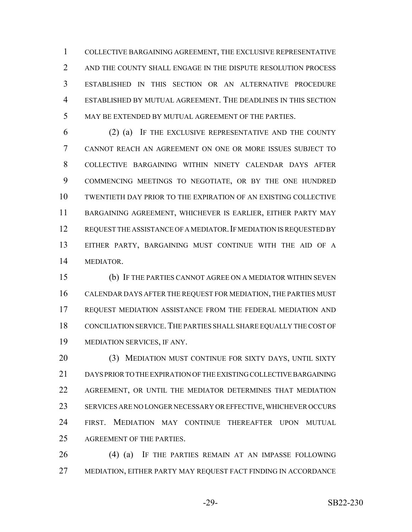COLLECTIVE BARGAINING AGREEMENT, THE EXCLUSIVE REPRESENTATIVE 2 AND THE COUNTY SHALL ENGAGE IN THE DISPUTE RESOLUTION PROCESS ESTABLISHED IN THIS SECTION OR AN ALTERNATIVE PROCEDURE ESTABLISHED BY MUTUAL AGREEMENT. THE DEADLINES IN THIS SECTION MAY BE EXTENDED BY MUTUAL AGREEMENT OF THE PARTIES.

 (2) (a) IF THE EXCLUSIVE REPRESENTATIVE AND THE COUNTY CANNOT REACH AN AGREEMENT ON ONE OR MORE ISSUES SUBJECT TO COLLECTIVE BARGAINING WITHIN NINETY CALENDAR DAYS AFTER COMMENCING MEETINGS TO NEGOTIATE, OR BY THE ONE HUNDRED TWENTIETH DAY PRIOR TO THE EXPIRATION OF AN EXISTING COLLECTIVE BARGAINING AGREEMENT, WHICHEVER IS EARLIER, EITHER PARTY MAY 12 REQUEST THE ASSISTANCE OF A MEDIATOR. IF MEDIATION IS REQUESTED BY EITHER PARTY, BARGAINING MUST CONTINUE WITH THE AID OF A MEDIATOR.

 (b) IF THE PARTIES CANNOT AGREE ON A MEDIATOR WITHIN SEVEN CALENDAR DAYS AFTER THE REQUEST FOR MEDIATION, THE PARTIES MUST REQUEST MEDIATION ASSISTANCE FROM THE FEDERAL MEDIATION AND CONCILIATION SERVICE.THE PARTIES SHALL SHARE EQUALLY THE COST OF MEDIATION SERVICES, IF ANY.

 (3) MEDIATION MUST CONTINUE FOR SIXTY DAYS, UNTIL SIXTY DAYS PRIOR TO THE EXPIRATION OF THE EXISTING COLLECTIVE BARGAINING AGREEMENT, OR UNTIL THE MEDIATOR DETERMINES THAT MEDIATION SERVICES ARE NO LONGER NECESSARY OR EFFECTIVE, WHICHEVER OCCURS FIRST. MEDIATION MAY CONTINUE THEREAFTER UPON MUTUAL AGREEMENT OF THE PARTIES.

26 (4) (a) IF THE PARTIES REMAIN AT AN IMPASSE FOLLOWING MEDIATION, EITHER PARTY MAY REQUEST FACT FINDING IN ACCORDANCE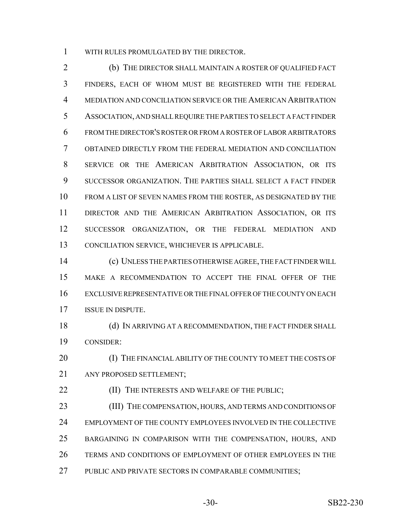WITH RULES PROMULGATED BY THE DIRECTOR.

 (b) THE DIRECTOR SHALL MAINTAIN A ROSTER OF QUALIFIED FACT FINDERS, EACH OF WHOM MUST BE REGISTERED WITH THE FEDERAL MEDIATION AND CONCILIATION SERVICE OR THE AMERICAN ARBITRATION ASSOCIATION, AND SHALL REQUIRE THE PARTIES TO SELECT A FACT FINDER FROM THE DIRECTOR'S ROSTER OR FROM A ROSTER OF LABOR ARBITRATORS OBTAINED DIRECTLY FROM THE FEDERAL MEDIATION AND CONCILIATION SERVICE OR THE AMERICAN ARBITRATION ASSOCIATION, OR ITS SUCCESSOR ORGANIZATION. THE PARTIES SHALL SELECT A FACT FINDER FROM A LIST OF SEVEN NAMES FROM THE ROSTER, AS DESIGNATED BY THE DIRECTOR AND THE AMERICAN ARBITRATION ASSOCIATION, OR ITS SUCCESSOR ORGANIZATION, OR THE FEDERAL MEDIATION AND CONCILIATION SERVICE, WHICHEVER IS APPLICABLE.

 (c) UNLESS THE PARTIES OTHERWISE AGREE, THE FACT FINDER WILL MAKE A RECOMMENDATION TO ACCEPT THE FINAL OFFER OF THE EXCLUSIVE REPRESENTATIVE OR THE FINAL OFFER OF THE COUNTY ON EACH ISSUE IN DISPUTE.

18 (d) IN ARRIVING AT A RECOMMENDATION, THE FACT FINDER SHALL CONSIDER:

20 (I) THE FINANCIAL ABILITY OF THE COUNTY TO MEET THE COSTS OF ANY PROPOSED SETTLEMENT;

**(II) THE INTERESTS AND WELFARE OF THE PUBLIC;** 

 (III) THE COMPENSATION, HOURS, AND TERMS AND CONDITIONS OF EMPLOYMENT OF THE COUNTY EMPLOYEES INVOLVED IN THE COLLECTIVE BARGAINING IN COMPARISON WITH THE COMPENSATION, HOURS, AND TERMS AND CONDITIONS OF EMPLOYMENT OF OTHER EMPLOYEES IN THE PUBLIC AND PRIVATE SECTORS IN COMPARABLE COMMUNITIES;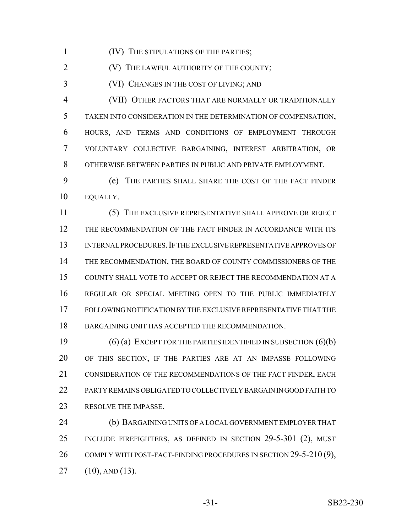(IV) THE STIPULATIONS OF THE PARTIES;

**(V) THE LAWFUL AUTHORITY OF THE COUNTY;** 

(VI) CHANGES IN THE COST OF LIVING; AND

 (VII) OTHER FACTORS THAT ARE NORMALLY OR TRADITIONALLY TAKEN INTO CONSIDERATION IN THE DETERMINATION OF COMPENSATION, HOURS, AND TERMS AND CONDITIONS OF EMPLOYMENT THROUGH VOLUNTARY COLLECTIVE BARGAINING, INTEREST ARBITRATION, OR OTHERWISE BETWEEN PARTIES IN PUBLIC AND PRIVATE EMPLOYMENT.

 (e) THE PARTIES SHALL SHARE THE COST OF THE FACT FINDER EQUALLY.

 (5) THE EXCLUSIVE REPRESENTATIVE SHALL APPROVE OR REJECT THE RECOMMENDATION OF THE FACT FINDER IN ACCORDANCE WITH ITS INTERNAL PROCEDURES.IF THE EXCLUSIVE REPRESENTATIVE APPROVES OF THE RECOMMENDATION, THE BOARD OF COUNTY COMMISSIONERS OF THE COUNTY SHALL VOTE TO ACCEPT OR REJECT THE RECOMMENDATION AT A REGULAR OR SPECIAL MEETING OPEN TO THE PUBLIC IMMEDIATELY FOLLOWING NOTIFICATION BY THE EXCLUSIVE REPRESENTATIVE THAT THE BARGAINING UNIT HAS ACCEPTED THE RECOMMENDATION.

 (6) (a) EXCEPT FOR THE PARTIES IDENTIFIED IN SUBSECTION (6)(b) OF THIS SECTION, IF THE PARTIES ARE AT AN IMPASSE FOLLOWING CONSIDERATION OF THE RECOMMENDATIONS OF THE FACT FINDER, EACH PARTY REMAINS OBLIGATED TO COLLECTIVELY BARGAIN IN GOOD FAITH TO 23 RESOLVE THE IMPASSE.

 (b) BARGAINING UNITS OF A LOCAL GOVERNMENT EMPLOYER THAT INCLUDE FIREFIGHTERS, AS DEFINED IN SECTION 29-5-301 (2), MUST 26 COMPLY WITH POST-FACT-FINDING PROCEDURES IN SECTION 29-5-210 (9), (10), AND (13).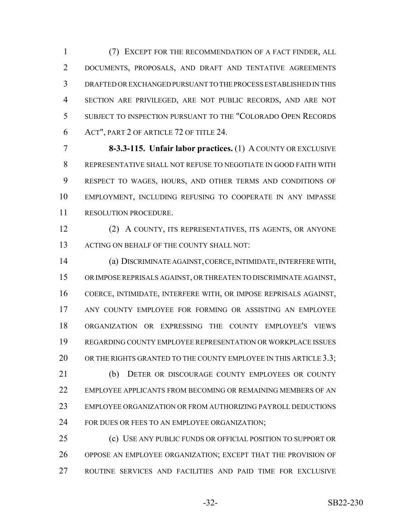(7) EXCEPT FOR THE RECOMMENDATION OF A FACT FINDER, ALL DOCUMENTS, PROPOSALS, AND DRAFT AND TENTATIVE AGREEMENTS DRAFTED OR EXCHANGED PURSUANT TO THE PROCESS ESTABLISHED IN THIS SECTION ARE PRIVILEGED, ARE NOT PUBLIC RECORDS, AND ARE NOT SUBJECT TO INSPECTION PURSUANT TO THE "COLORADO OPEN RECORDS ACT", PART 2 OF ARTICLE 72 OF TITLE 24.

 **8-3.3-115. Unfair labor practices.** (1) A COUNTY OR EXCLUSIVE REPRESENTATIVE SHALL NOT REFUSE TO NEGOTIATE IN GOOD FAITH WITH RESPECT TO WAGES, HOURS, AND OTHER TERMS AND CONDITIONS OF EMPLOYMENT, INCLUDING REFUSING TO COOPERATE IN ANY IMPASSE RESOLUTION PROCEDURE.

 (2) A COUNTY, ITS REPRESENTATIVES, ITS AGENTS, OR ANYONE 13 ACTING ON BEHALF OF THE COUNTY SHALL NOT:

 (a) DISCRIMINATE AGAINST, COERCE, INTIMIDATE, INTERFERE WITH, OR IMPOSE REPRISALS AGAINST, OR THREATEN TO DISCRIMINATE AGAINST, COERCE, INTIMIDATE, INTERFERE WITH, OR IMPOSE REPRISALS AGAINST, ANY COUNTY EMPLOYEE FOR FORMING OR ASSISTING AN EMPLOYEE ORGANIZATION OR EXPRESSING THE COUNTY EMPLOYEE'S VIEWS REGARDING COUNTY EMPLOYEE REPRESENTATION OR WORKPLACE ISSUES 20 OR THE RIGHTS GRANTED TO THE COUNTY EMPLOYEE IN THIS ARTICLE 3.3; (b) DETER OR DISCOURAGE COUNTY EMPLOYEES OR COUNTY EMPLOYEE APPLICANTS FROM BECOMING OR REMAINING MEMBERS OF AN EMPLOYEE ORGANIZATION OR FROM AUTHORIZING PAYROLL DEDUCTIONS 24 FOR DUES OR FEES TO AN EMPLOYEE ORGANIZATION;

 (c) USE ANY PUBLIC FUNDS OR OFFICIAL POSITION TO SUPPORT OR OPPOSE AN EMPLOYEE ORGANIZATION; EXCEPT THAT THE PROVISION OF ROUTINE SERVICES AND FACILITIES AND PAID TIME FOR EXCLUSIVE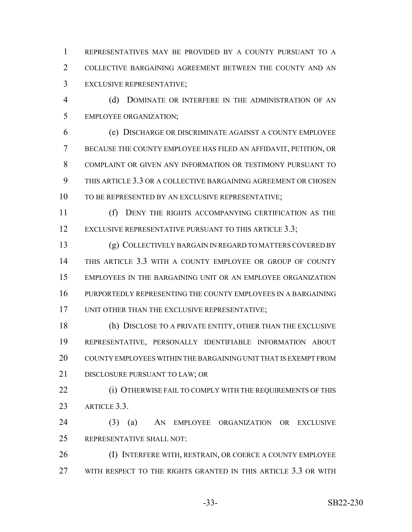REPRESENTATIVES MAY BE PROVIDED BY A COUNTY PURSUANT TO A COLLECTIVE BARGAINING AGREEMENT BETWEEN THE COUNTY AND AN EXCLUSIVE REPRESENTATIVE;

 (d) DOMINATE OR INTERFERE IN THE ADMINISTRATION OF AN EMPLOYEE ORGANIZATION;

 (e) DISCHARGE OR DISCRIMINATE AGAINST A COUNTY EMPLOYEE BECAUSE THE COUNTY EMPLOYEE HAS FILED AN AFFIDAVIT, PETITION, OR COMPLAINT OR GIVEN ANY INFORMATION OR TESTIMONY PURSUANT TO THIS ARTICLE 3.3 OR A COLLECTIVE BARGAINING AGREEMENT OR CHOSEN TO BE REPRESENTED BY AN EXCLUSIVE REPRESENTATIVE;

 (f) DENY THE RIGHTS ACCOMPANYING CERTIFICATION AS THE 12 EXCLUSIVE REPRESENTATIVE PURSUANT TO THIS ARTICLE 3.3;

 (g) COLLECTIVELY BARGAIN IN REGARD TO MATTERS COVERED BY THIS ARTICLE 3.3 WITH A COUNTY EMPLOYEE OR GROUP OF COUNTY EMPLOYEES IN THE BARGAINING UNIT OR AN EMPLOYEE ORGANIZATION PURPORTEDLY REPRESENTING THE COUNTY EMPLOYEES IN A BARGAINING 17 UNIT OTHER THAN THE EXCLUSIVE REPRESENTATIVE;

 (h) DISCLOSE TO A PRIVATE ENTITY, OTHER THAN THE EXCLUSIVE REPRESENTATIVE, PERSONALLY IDENTIFIABLE INFORMATION ABOUT COUNTY EMPLOYEES WITHIN THE BARGAINING UNIT THAT IS EXEMPT FROM DISCLOSURE PURSUANT TO LAW; OR

**(i) OTHERWISE FAIL TO COMPLY WITH THE REQUIREMENTS OF THIS** ARTICLE 3.3.

 (3) (a) AN EMPLOYEE ORGANIZATION OR EXCLUSIVE REPRESENTATIVE SHALL NOT:

26 (I) INTERFERE WITH, RESTRAIN, OR COERCE A COUNTY EMPLOYEE WITH RESPECT TO THE RIGHTS GRANTED IN THIS ARTICLE 3.3 OR WITH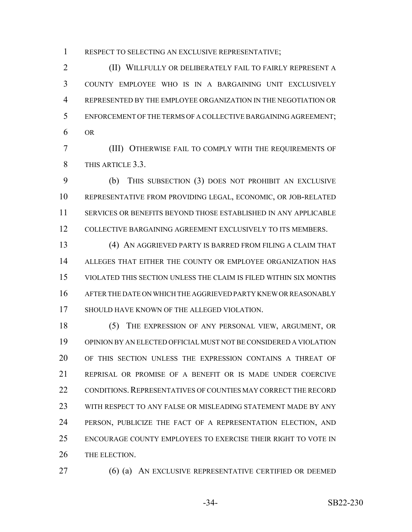RESPECT TO SELECTING AN EXCLUSIVE REPRESENTATIVE;

 (II) WILLFULLY OR DELIBERATELY FAIL TO FAIRLY REPRESENT A COUNTY EMPLOYEE WHO IS IN A BARGAINING UNIT EXCLUSIVELY REPRESENTED BY THE EMPLOYEE ORGANIZATION IN THE NEGOTIATION OR ENFORCEMENT OF THE TERMS OF A COLLECTIVE BARGAINING AGREEMENT; OR

 (III) OTHERWISE FAIL TO COMPLY WITH THE REQUIREMENTS OF THIS ARTICLE 3.3.

 (b) THIS SUBSECTION (3) DOES NOT PROHIBIT AN EXCLUSIVE REPRESENTATIVE FROM PROVIDING LEGAL, ECONOMIC, OR JOB-RELATED SERVICES OR BENEFITS BEYOND THOSE ESTABLISHED IN ANY APPLICABLE COLLECTIVE BARGAINING AGREEMENT EXCLUSIVELY TO ITS MEMBERS.

 (4) AN AGGRIEVED PARTY IS BARRED FROM FILING A CLAIM THAT ALLEGES THAT EITHER THE COUNTY OR EMPLOYEE ORGANIZATION HAS VIOLATED THIS SECTION UNLESS THE CLAIM IS FILED WITHIN SIX MONTHS AFTER THE DATE ON WHICH THE AGGRIEVED PARTY KNEW OR REASONABLY SHOULD HAVE KNOWN OF THE ALLEGED VIOLATION.

 (5) THE EXPRESSION OF ANY PERSONAL VIEW, ARGUMENT, OR OPINION BY AN ELECTED OFFICIAL MUST NOT BE CONSIDERED A VIOLATION OF THIS SECTION UNLESS THE EXPRESSION CONTAINS A THREAT OF REPRISAL OR PROMISE OF A BENEFIT OR IS MADE UNDER COERCIVE 22 CONDITIONS. REPRESENTATIVES OF COUNTIES MAY CORRECT THE RECORD WITH RESPECT TO ANY FALSE OR MISLEADING STATEMENT MADE BY ANY PERSON, PUBLICIZE THE FACT OF A REPRESENTATION ELECTION, AND ENCOURAGE COUNTY EMPLOYEES TO EXERCISE THEIR RIGHT TO VOTE IN THE ELECTION.

(6) (a) AN EXCLUSIVE REPRESENTATIVE CERTIFIED OR DEEMED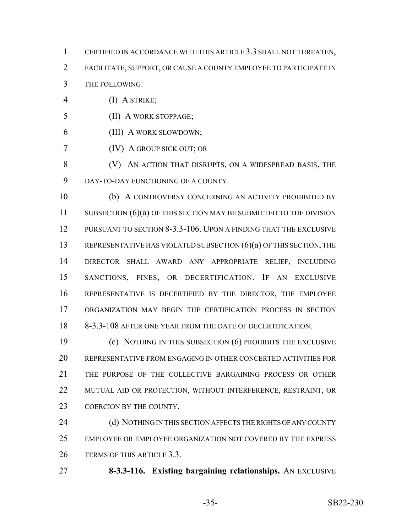- CERTIFIED IN ACCORDANCE WITH THIS ARTICLE 3.3 SHALL NOT THREATEN, FACILITATE, SUPPORT, OR CAUSE A COUNTY EMPLOYEE TO PARTICIPATE IN THE FOLLOWING:
- (I) A STRIKE;
- (II) A WORK STOPPAGE;
- (III) A WORK SLOWDOWN;
- (IV) A GROUP SICK OUT; OR
- (V) AN ACTION THAT DISRUPTS, ON A WIDESPREAD BASIS, THE DAY-TO-DAY FUNCTIONING OF A COUNTY.

 (b) A CONTROVERSY CONCERNING AN ACTIVITY PROHIBITED BY 11 SUBSECTION (6)(a) OF THIS SECTION MAY BE SUBMITTED TO THE DIVISION PURSUANT TO SECTION 8-3.3-106. UPON A FINDING THAT THE EXCLUSIVE 13 REPRESENTATIVE HAS VIOLATED SUBSECTION (6)(a) OF THIS SECTION, THE DIRECTOR SHALL AWARD ANY APPROPRIATE RELIEF, INCLUDING SANCTIONS, FINES, OR DECERTIFICATION. IF AN EXCLUSIVE REPRESENTATIVE IS DECERTIFIED BY THE DIRECTOR, THE EMPLOYEE ORGANIZATION MAY BEGIN THE CERTIFICATION PROCESS IN SECTION 8-3.3-108 AFTER ONE YEAR FROM THE DATE OF DECERTIFICATION.

 (c) NOTHING IN THIS SUBSECTION (6) PROHIBITS THE EXCLUSIVE REPRESENTATIVE FROM ENGAGING IN OTHER CONCERTED ACTIVITIES FOR THE PURPOSE OF THE COLLECTIVE BARGAINING PROCESS OR OTHER MUTUAL AID OR PROTECTION, WITHOUT INTERFERENCE, RESTRAINT, OR 23 COERCION BY THE COUNTY.

24 (d) NOTHING IN THIS SECTION AFFECTS THE RIGHTS OF ANY COUNTY EMPLOYEE OR EMPLOYEE ORGANIZATION NOT COVERED BY THE EXPRESS TERMS OF THIS ARTICLE 3.3.

**8-3.3-116. Existing bargaining relationships.** AN EXCLUSIVE